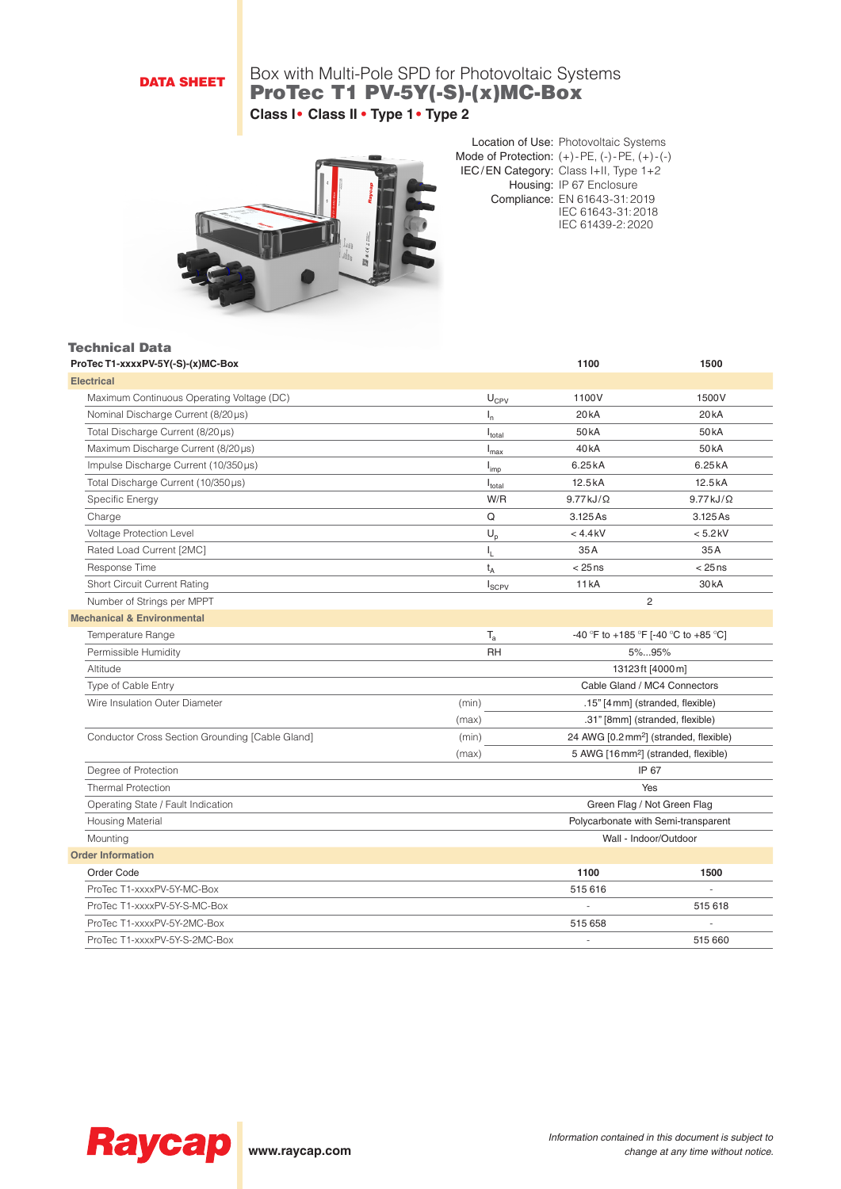## DATA SHEET

## Box with Multi-Pole SPD for Photovoltaic Systems ProTec T1 PV-5Y(-S)-(x)MC-Box **Class I• Class II • Type 1• Type 2**



Location of Use: Photovoltaic Systems Mode of Protection: (+)-PE, (-)-PE, (+)-(-) IEC/EN Category: Class I+II, Type 1+2 Housing: IP 67 Enclosure Compliance: EN 61643-31:2019 IEC 61643-31:2018 IEC 61439-2:2020

| ProTec T1-xxxxPV-5Y(-S)-(x)MC-Box               |                             | 1100                                 | 1500                                               |
|-------------------------------------------------|-----------------------------|--------------------------------------|----------------------------------------------------|
| <b>Electrical</b>                               |                             |                                      |                                                    |
| Maximum Continuous Operating Voltage (DC)       | $\mathsf{U}_{\mathsf{CPV}}$ | 1100V                                | 1500V                                              |
| Nominal Discharge Current (8/20 µs)             | $I_{n}$                     | 20 <sub>k</sub> A                    | 20 <sub>k</sub> A                                  |
| Total Discharge Current (8/20µs)                | $I_{\text{total}}$          | 50 <sub>k</sub> A                    | 50 <sub>k</sub> A                                  |
| Maximum Discharge Current (8/20µs)              | $I_{\text{max}}$            | 40 <sub>k</sub> A                    | 50 <sub>k</sub> A                                  |
| Impulse Discharge Current (10/350µs)            | $I_{imp}$                   | 6.25kA                               | 6.25kA                                             |
| Total Discharge Current (10/350µs)              | $I_{\text{total}}$          | 12.5kA                               | 12.5kA                                             |
| Specific Energy                                 | W/R                         | $9.77 kJ/\Omega$                     | $9.77 kJ/\Omega$                                   |
| Charge                                          | Q                           | 3.125 As                             | 3.125 As                                           |
| Voltage Protection Level                        | $\mathsf{U_p}$              | $< 4.4$ kV                           | $< 5.2$ kV                                         |
| Rated Load Current [2MC]                        | I <sub>L</sub>              | 35A                                  | 35A                                                |
| Response Time                                   | $t_A$                       | $< 25$ ns                            | $< 25$ ns                                          |
| <b>Short Circuit Current Rating</b>             | $I_{SCPV}$                  | <b>11 kA</b>                         | 30 <sub>k</sub> A                                  |
| Number of Strings per MPPT                      |                             |                                      | 2                                                  |
| <b>Mechanical &amp; Environmental</b>           |                             |                                      |                                                    |
| Temperature Range                               | $T_{\rm a}$                 | -40 °F to +185 °F [-40 °C to +85 °C] |                                                    |
| Permissible Humidity                            | <b>RH</b>                   | 5%95%                                |                                                    |
| Altitude                                        |                             |                                      | 13123ft [4000m]                                    |
| Type of Cable Entry                             |                             |                                      | Cable Gland / MC4 Connectors                       |
| Wire Insulation Outer Diameter                  | (min)                       |                                      | .15" [4 mm] (stranded, flexible)                   |
|                                                 | (max)                       |                                      | .31" [8mm] (stranded, flexible)                    |
| Conductor Cross Section Grounding [Cable Gland] | (min)                       |                                      | 24 AWG [0.2 mm <sup>2</sup> ] (stranded, flexible) |
|                                                 | (max)                       |                                      | 5 AWG [16 mm <sup>2</sup> ] (stranded, flexible)   |
| Degree of Protection                            | IP 67                       |                                      |                                                    |
| <b>Thermal Protection</b>                       | Yes                         |                                      |                                                    |
| Operating State / Fault Indication              | Green Flag / Not Green Flag |                                      |                                                    |
| <b>Housing Material</b>                         |                             |                                      | Polycarbonate with Semi-transparent                |
| Mounting                                        |                             |                                      | Wall - Indoor/Outdoor                              |
| <b>Order Information</b>                        |                             |                                      |                                                    |
| Order Code                                      |                             | 1100                                 | 1500                                               |
| ProTec T1-xxxxPV-5Y-MC-Box                      |                             | 515 616                              |                                                    |
| ProTec T1-xxxxPV-5Y-S-MC-Box                    |                             |                                      | 515 618                                            |
| ProTec T1-xxxxPV-5Y-2MC-Box                     |                             | 515 658                              |                                                    |
| ProTec T1-xxxxPV-5Y-S-2MC-Box                   |                             |                                      | 515 660                                            |